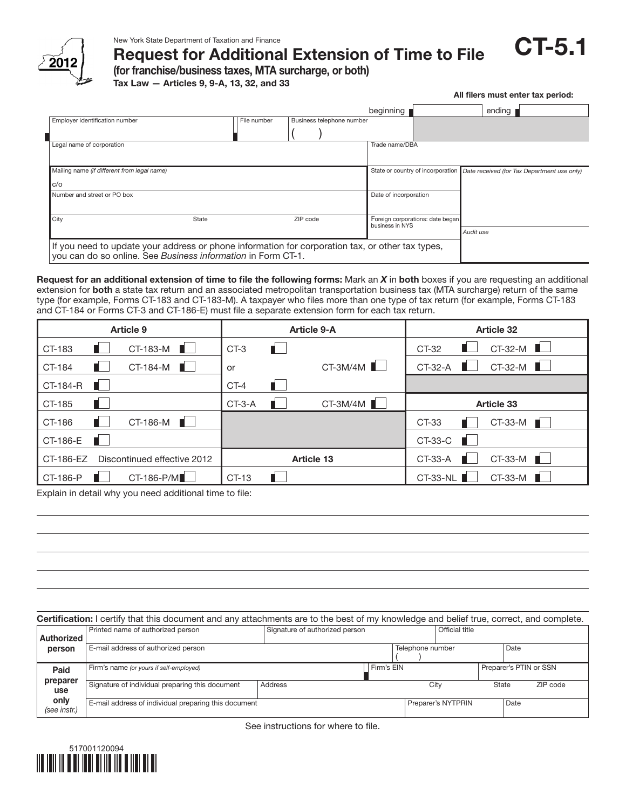

Request for Additional Extension of Time to File

(for franchise/business taxes, MTA surcharge, or both)

Tax Law — Articles 9, 9-A, 13, 32, and 33

|                                                                                                                                                                  |       |             |                           |                                                     |  | All filers must enter tax period:                                             |
|------------------------------------------------------------------------------------------------------------------------------------------------------------------|-------|-------------|---------------------------|-----------------------------------------------------|--|-------------------------------------------------------------------------------|
|                                                                                                                                                                  |       |             |                           | beginning                                           |  | ending                                                                        |
| Employer identification number                                                                                                                                   |       | File number | Business telephone number |                                                     |  |                                                                               |
| Legal name of corporation                                                                                                                                        |       |             |                           | Trade name/DBA                                      |  |                                                                               |
| Mailing name (if different from legal name)                                                                                                                      |       |             |                           |                                                     |  | State or country of incorporation Date received (for Tax Department use only) |
| C/O                                                                                                                                                              |       |             |                           |                                                     |  |                                                                               |
| Number and street or PO box                                                                                                                                      |       |             |                           | Date of incorporation                               |  |                                                                               |
| City                                                                                                                                                             | State | ZIP code    |                           | Foreign corporations: date began<br>business in NYS |  | Audit use                                                                     |
| If you need to update your address or phone information for corporation tax, or other tax types,<br>you can do so online. See Business information in Form CT-1. |       |             |                           |                                                     |  |                                                                               |

Request for an additional extension of time to file the following forms: Mark an *X* in both boxes if you are requesting an additional extension for both a state tax return and an associated metropolitan transportation business tax (MTA surcharge) return of the same type (for example, Forms CT-183 and CT-183-M). A taxpayer who files more than one type of tax return (for example, Forms CT-183 and CT-184 or Forms CT-3 and CT-186-E) must file a separate extension form for each tax return.

| Article 9                                | <b>Article 9-A</b>     | <b>Article 32</b>              |  |
|------------------------------------------|------------------------|--------------------------------|--|
| a militar<br>CT-183-M<br>CT-183          | П<br>$CT-3$            | $CT-32-M$<br>a ka<br>CT-32     |  |
| $CT-184-M$<br>CT-184                     | $CT-3M/4M$<br>or       | $CT-32-M$<br>CT-32-A<br>a seri |  |
| CT-184-R                                 | $CT-4$                 |                                |  |
| CT-185<br>. .                            | CT-3M/4M ■<br>$CT-3-A$ | <b>Article 33</b>              |  |
| $CT-186-M$<br>CT-186                     |                        | $CT-33-M$<br>CT-33             |  |
| CT-186-E                                 |                        | $CT-33-C$                      |  |
| Discontinued effective 2012<br>CT-186-EZ | <b>Article 13</b>      | $CT-33-M$<br>CT-33-A           |  |
| CT-186-P/M<br>CT-186-P                   | CT-13                  | $CT-33-M$<br><b>CT-33-NL</b>   |  |

Explain in detail why you need additional time to file:

Certification: I certify that this document and any attachments are to the best of my knowledge and belief true, correct, and complete. Authorized person Paid preparer use only *(see instr.)* Printed name of authorized person Signature of authorized person **Official title** E-mail address of authorized person **Telephone number** Date Firm's name (or yours if self-employed) **Firm** is EIN **Firm's EIN** Preparer's PTIN or SSN Signature of individual preparing this document Address City City State ZIP code E-mail address of individual preparing this document Preparer's NYTPRIN Preparer's NYTPRIN Date ( )

See instructions for where to file.